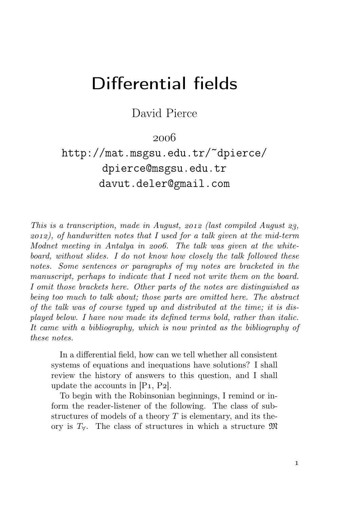## Differential fields

David Pierce

 $2006$ 

http://mat.msgsu.edu.tr/~dpierce/ dpierce@msgsu.edu.tr davut.deler@gmail.com

This is a transcription, made in August,  $2012$  (last compiled August 23,  $2012$ ), of handwritten notes that I used for a talk given at the mid-term Modnet meeting in Antalya in 2006. The talk was given at the whiteboard, without slides. I do not know how closely the talk followed these notes. Some sentences or paragraphs of my notes are bracketed in the manuscript, perhaps to indicate that I need not write them on the board. I omit those brackets here. Other parts of the notes are distinguished as being too much to talk about; those parts are omitted here. The abstract of the talk was of course typed up and distributed at the time; it is displayed below. I have now made its defined terms bold, rather than italic. It came with a bibliography, which is now printed as the bibliography of these notes.

In a differential field, how can we tell whether all consistent systems of equations and inequations have solutions? I shall review the history of answers to this question, and I shall update the accounts in  $[P_1, P_2]$ .

To begin with the Robinsonian beginnings, I remind or inform the reader-listener of the following. The class of substructures of models of a theory  $T$  is elementary, and its theory is  $T_{\forall}$ . The class of structures in which a structure  $\mathfrak{M}$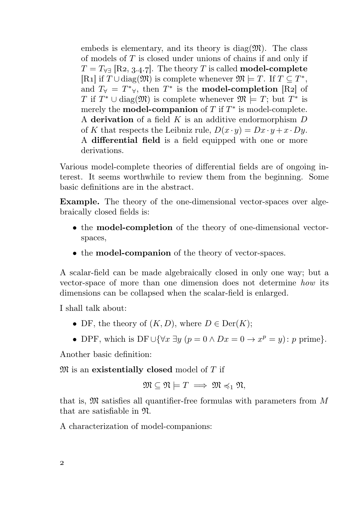embeds is elementary, and its theory is diag $(\mathfrak{M})$ . The class of models of  $T$  is closed under unions of chains if and only if  $T = T_{\forall\exists}$  [R2, 3.4.7]. The theory T is called **model-complete** [R<sub>1</sub>] if  $T \cup diag(\mathfrak{M})$  is complete whenever  $\mathfrak{M} \models T$ . If  $T \subseteq T^*$ , and  $T_{\forall} = T^*_{\forall}$ , then  $T^*$  is the **model-completion** [R2] of T if  $T^* \cup \text{diag}(\mathfrak{M})$  is complete whenever  $\mathfrak{M} \models T$ ; but  $T^*$  is merely the **model-companion** of  $T$  if  $T^*$  is model-complete. A derivation of a field  $K$  is an additive endormorphism  $D$ of K that respects the Leibniz rule,  $D(x \cdot y) = Dx \cdot y + x \cdot Dy$ . A differential field is a field equipped with one or more derivations.

Various model-complete theories of differential fields are of ongoing interest. It seems worthwhile to review them from the beginning. Some basic definitions are in the abstract.

Example. The theory of the one-dimensional vector-spaces over algebraically closed fields is:

- the model-completion of the theory of one-dimensional vectorspaces,
- the **model-companion** of the theory of vector-spaces.

A scalar-field can be made algebraically closed in only one way; but a vector-space of more than one dimension does not determine how its dimensions can be collapsed when the scalar-field is enlarged.

I shall talk about:

- DF, the theory of  $(K, D)$ , where  $D \in \text{Der}(K)$ ;
- DPF, which is DF $\cup \{ \forall x \exists y \ (p = 0 \land Dx = 0 \rightarrow x^p = y) : p \text{ prime} \}.$

Another basic definition:

 $\mathfrak{M}$  is an existentially closed model of T if

$$
\mathfrak{M}\subseteq \mathfrak{N}\models T\implies \mathfrak{M}\preccurlyeq_1\mathfrak{N},
$$

that is,  $\mathfrak{M}$  satisfies all quantifier-free formulas with parameters from  $M$ that are satisfiable in N.

A characterization of model-companions: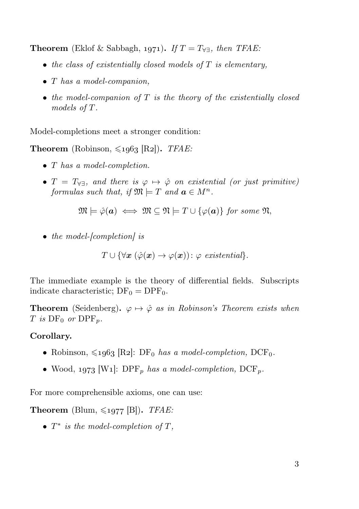**Theorem** (Eklof & Sabbagh, 1971). If  $T = T_{\forall\exists}$ , then TFAE:

- $\bullet$  the class of existentially closed models of  $T$  is elementary,
- T has a model-companion,
- $\bullet$  the model-companion of  $T$  is the theory of the existentially closed models of T.

Model-completions meet a stronger condition:

**Theorem** (Robinson,  $\leq 1963$  [R2]). *TFAE:* 

- T has a model-completion.
- $T = T_{\forall \exists}$ , and there is  $\varphi \mapsto \hat{\varphi}$  on existential (or just primitive) formulas such that, if  $\mathfrak{M} \models T$  and  $\mathbf{a} \in M^n$ .

$$
\mathfrak{M} \models \hat{\varphi}(\mathbf{a}) \iff \mathfrak{M} \subseteq \mathfrak{N} \models T \cup \{\varphi(\mathbf{a})\} \text{ for some } \mathfrak{N},
$$

• the model-[completion] is

$$
T \cup \{ \forall \boldsymbol{x} \ (\hat{\varphi}(\boldsymbol{x}) \to \varphi(\boldsymbol{x})) : \varphi \ \text{ existential} \}.
$$

The immediate example is the theory of differential fields. Subscripts indicate characteristic;  $DF_0 = DPF_0$ .

**Theorem** (Seidenberg).  $\varphi \mapsto \hat{\varphi}$  as in Robinson's Theorem exists when T is  $DF_0$  or  $DPF_n$ .

## Corollary.

- Robinson,  $\leq 1963$  [R2]: DF<sub>0</sub> has a model-completion, DCF<sub>0</sub>.
- Wood, 1973 [W1]: DPF<sub>p</sub> has a model-completion, DCF<sub>p</sub>.

For more comprehensible axioms, one can use:

**Theorem** (Blum,  $\leq 1977$  [B]). *TFAE:* 

•  $T^*$  is the model-completion of  $T$ ,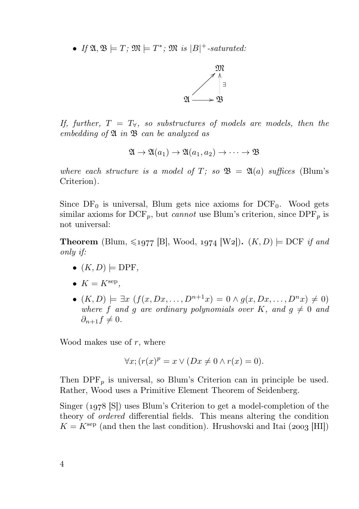• If  $\mathfrak{A}, \mathfrak{B} \models T; \mathfrak{M} \models T^*; \mathfrak{M}$  is  $|B|^+$ -saturated:



If, further,  $T = T_{\forall}$ , so substructures of models are models, then the embedding of  $\mathfrak A$  in  $\mathfrak B$  can be analyzed as

$$
\mathfrak{A}\to\mathfrak{A}(a_1)\to\mathfrak{A}(a_1,a_2)\to\cdots\to\mathfrak{B}
$$

where each structure is a model of T; so  $\mathfrak{B} = \mathfrak{A}(a)$  suffices (Blum's Criterion).

Since  $DF_0$  is universal, Blum gets nice axioms for  $DCF_0$ . Wood gets similar axioms for  $\text{DCF}_p$ , but *cannot* use Blum's criterion, since  $\text{DPF}_p$  is not universal:

**Theorem** (Blum,  $\leq 1977$  [B], Wood, 1974 [W2]).  $(K, D) \models DCF$  if and only if:

- $(K, D) \models DPF$ ,
- $K = K^{\text{sep}},$
- $(K, D) \models \exists x \ (f(x, Dx, \ldots, D^{n+1}x) = 0 \land g(x, Dx, \ldots, D^{n}x) \neq 0)$ where f and q are ordinary polynomials over K, and  $q \neq 0$  and  $\partial_{n+1} f \neq 0.$

Wood makes use of  $r$ , where

$$
\forall x; (r(x)^p = x \lor (Dx \neq 0 \land r(x) = 0).
$$

Then  $\text{DPF}_p$  is universal, so Blum's Criterion can in principle be used. Rather, Wood uses a Primitive Element Theorem of Seidenberg.

Singer  $(1978 \text{ [S]})$  uses Blum's Criterion to get a model-completion of the theory of ordered differential fields. This means altering the condition  $K = K^{\text{sep}}$  (and then the last condition). Hrushovski and Itai (2003 [HI])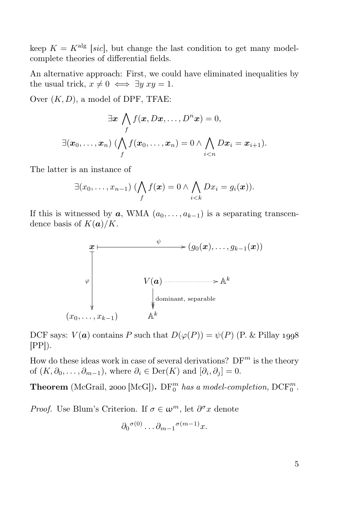keep  $K = K^{\text{alg}}$  [sic], but change the last condition to get many modelcomplete theories of differential fields.

An alternative approach: First, we could have eliminated inequalities by the usual trick,  $x \neq 0 \iff \exists y \ xy = 1$ .

Over  $(K, D)$ , a model of DPF, TFAE:

$$
\exists x \bigwedge_{f} f(x, Dx, \dots, D^{n}x) = 0,
$$
  

$$
\exists (x_0, \dots, x_n) \ (\bigwedge_{f} f(x_0, \dots, x_n) = 0 \land \bigwedge_{i < n} Dx_i = x_{i+1}).
$$

The latter is an instance of

$$
\exists (x_0,\ldots,x_{n-1})\;(\bigwedge_f f(\boldsymbol{x})=0\land\bigwedge_{i
$$

If this is witnessed by  $a$ , WMA  $(a_0, \ldots, a_{k-1})$  is a separating transcendence basis of  $K(a)/K$ .



DCF says:  $V(\boldsymbol{a})$  contains P such that  $D(\varphi(P)) = \psi(P)$  (P. & Pillay 1998)  $[PP]$ ).

How do these ideas work in case of several derivations?  $DF^m$  is the theory of  $(K, \partial_0, \ldots, \partial_{m-1})$ , where  $\partial_i \in \text{Der}(K)$  and  $[\partial_i, \partial_j] = 0$ .

**Theorem** (McGrail, 2000 [McG]).  $DF_0^m$  has a model-completion,  $DCF_0^m$ .

*Proof.* Use Blum's Criterion. If  $\sigma \in \omega^m$ , let  $\partial^{\sigma}x$  denote

$$
\partial_0^{\sigma(0)}\dots\partial_{m-1}^{\sigma(m-1)}x.
$$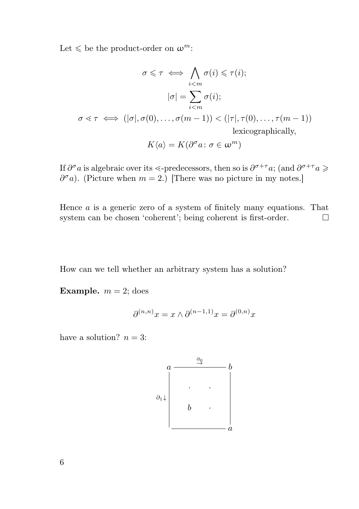Let  $\leq$  be the product-order on  $\omega^m$ :

$$
\sigma \leq \tau \iff \bigwedge_{i < m} \sigma(i) \leq \tau(i);
$$
\n
$$
|\sigma| = \sum_{i < m} \sigma(i);
$$
\n
$$
\sigma \leq \tau \iff (|\sigma|, \sigma(0), \dots, \sigma(m-1)) < (|\tau|, \tau(0), \dots, \tau(m-1))
$$
\nlexicographically,

$$
K\langle a\rangle = K(\partial^{\sigma} a \colon \sigma \in \omega^m)
$$

If  $\partial^{\sigma} a$  is algebraic over its <-predecessors, then so is  $\partial^{\sigma+\tau} a$ ; (and  $\partial^{\sigma+\tau} a \geqslant$  $\partial^{\sigma} a$ ). (Picture when  $m = 2$ .) [There was no picture in my notes.]

Hence  $a$  is a generic zero of a system of finitely many equations. That system can be chosen 'coherent'; being coherent is first-order.  $\Box$ 

How can we tell whether an arbitrary system has a solution?

Example.  $m = 2$ ; does

$$
\partial^{(n,n)} x = x \wedge \partial^{(n-1,1)} x = \partial^{(0,n)} x
$$

have a solution?  $n = 3$ :

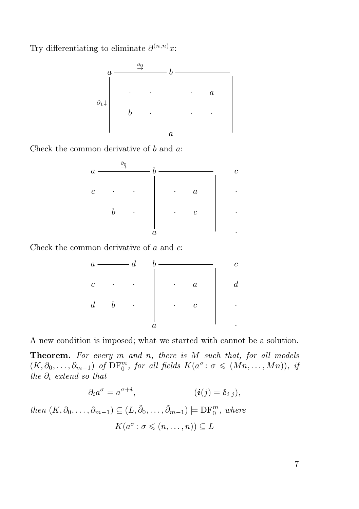Try differentiating to eliminate  $\partial^{(n,n)}x$ :



Check the common derivative of  $b$  and  $a$ :



Check the common derivative of a and c:



A new condition is imposed; what we started with cannot be a solution.

**Theorem.** For every  $m$  and  $n$ , there is  $M$  such that, for all models  $(K, \partial_0, \ldots, \partial_{m-1})$  of  $\mathrm{DF}_0^m$ , for all fields  $K(a^{\sigma} : \sigma \leq (Mn, \ldots, Mn))$ , if the  $\partial_i$  extend so that

$$
\partial_i a^\sigma = a^{\sigma + i}, \qquad (i(j) = \delta_{i,j}),
$$

then  $(K, \partial_0, \ldots, \partial_{m-1}) \subseteq (L, \tilde{\partial}_0, \ldots, \tilde{\partial}_{m-1}) \models DF_0^m$ , where  $K(a^{\sigma} \colon \sigma \leqslant (n, \ldots, n)) \subseteq L$